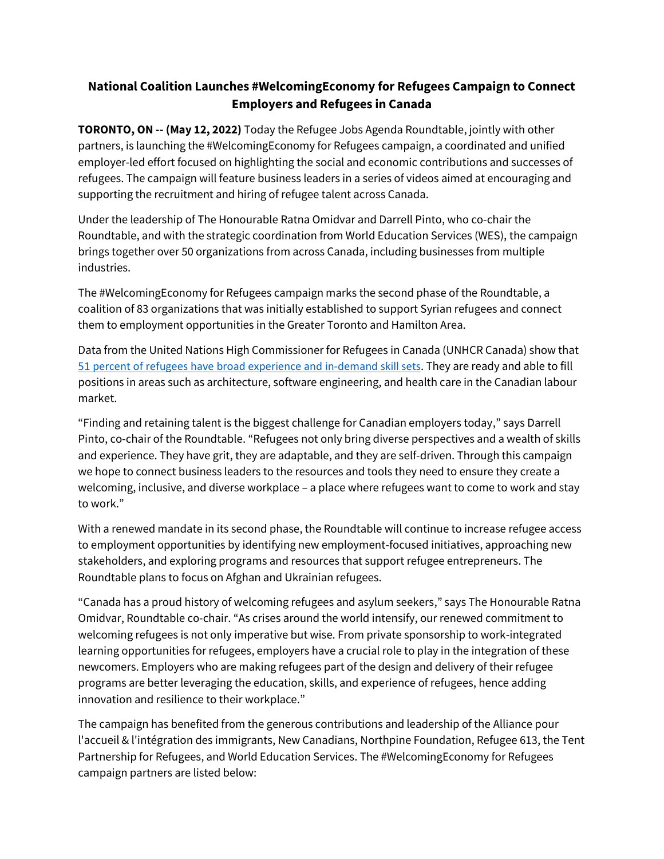## **National Coalition Launches #WelcomingEconomy for Refugees Campaign to Connect Employers and Refugees in Canada**

**TORONTO, ON -- (May 12, 2022)** Today the Refugee Jobs Agenda Roundtable, jointly with other partners, is launching the #WelcomingEconomy for Refugees campaign, a coordinated and unified employer-led effort focused on highlighting the social and economic contributions and successes of refugees. The campaign will feature business leaders in a series of videos aimed at encouraging and supporting the recruitment and hiring of refugee talent across Canada.

Under the leadership of The Honourable Ratna Omidvar and Darrell Pinto, who co-chair the Roundtable, and with the strategic coordination from World Education Services (WES), the campaign brings together over 50 organizations from across Canada, including businesses from multiple industries.

The #WelcomingEconomy for Refugees campaign marks the second phase of the Roundtable, a coalition of 83 organizations that was initially established to support Syrian refugees and connect them to employment opportunities in the Greater Toronto and Hamilton Area.

Data from the United Nations High Commissioner for Refugees in Canada (UNHCR Canada) show that [51 percent of refugees have broad experience and in-demand skill](https://www.unhcr.ca/in-canada/refugees-in-canada/) sets. They are ready and able to fill positions in areas such as architecture, software engineering, and health care in the Canadian labour market.

"Finding and retaining talent is the biggest challenge for Canadian employers today," says Darrell Pinto, co-chair of the Roundtable. "Refugees not only bring diverse perspectives and a wealth of skills and experience. They have grit, they are adaptable, and they are self-driven. Through this campaign we hope to connect business leaders to the resources and tools they need to ensure they create a welcoming, inclusive, and diverse workplace – a place where refugees want to come to work and stay to work."

With a renewed mandate in its second phase, the Roundtable will continue to increase refugee access to employment opportunities by identifying new employment-focused initiatives, approaching new stakeholders, and exploring programs and resources that support refugee entrepreneurs. The Roundtable plans to focus on Afghan and Ukrainian refugees.

"Canada has a proud history of welcoming refugees and asylum seekers," says The Honourable Ratna Omidvar, Roundtable co-chair. "As crises around the world intensify, our renewed commitment to welcoming refugees is not only imperative but wise. From private sponsorship to work-integrated learning opportunities for refugees, employers have a crucial role to play in the integration of these newcomers. Employers who are making refugees part of the design and delivery of their refugee programs are better leveraging the education, skills, and experience of refugees, hence adding innovation and resilience to their workplace."

The campaign has benefited from the generous contributions and leadership of the Alliance pour l'accueil & l'intégration des immigrants, New Canadians, Northpine Foundation, Refugee 613, the Tent Partnership for Refugees, and World Education Services. The #WelcomingEconomy for Refugees campaign partners are listed below: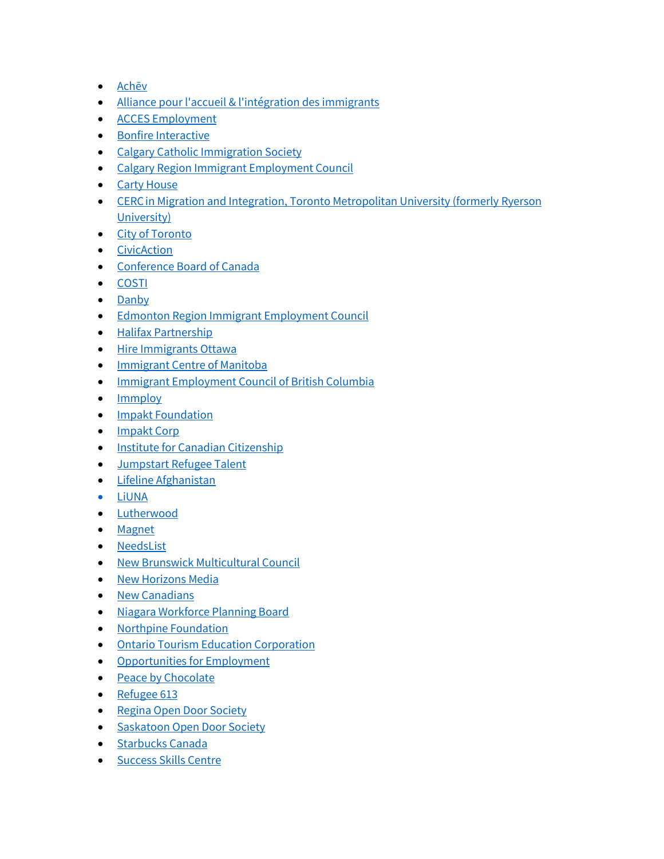- [Achēv](https://achev.ca/)
- [Alliance pour l'accueil & l'intégration des immigrants](https://www.alac.qc.ca/)
- [ACCES Employment](https://accesemployment.ca/)
- [Bonfire Interactive](https://gobonfire.com/)
- [Calgary Catholic Immigration Society](https://www.ccisab.ca/)
- [Calgary Region Immigrant Employment Council](https://www.criec.ca/)
- [Carty House](https://cartyhouse.org/)
- CERC in Migration and Integration, Toronto Metropolitan University (formerly Ryerson [University\)](https://www.ryerson.ca/cerc-migration/)
- [City of Toronto](https://www.toronto.ca/community-people/moving-to-toronto/refugee-resettlement-program/)
- [CivicAction](https://civicaction.ca/)
- [Conference Board of Canada](https://www.conferenceboard.ca/focus-areas/immigration)
- [COSTI](http://www.costi.org/)
- [Danby](https://www.danby.com/donate/)
- [Edmonton Region Immigrant Employment Council](https://www.eriec.ca/)
- [Halifax Partnership](https://halifaxpartnership.com/how-we-help/grow-your-business/connect-to-talent/)
- [Hire Immigrants Ottawa](https://www.hireimmigrantsottawa.ca/)
- [Immigrant Centre of Manitoba](https://www.icmanitoba.com/)
- [Immigrant Employment Council of British Columbia](https://iecbc.ca/)
- [Immploy](https://www.immploy.ca/)
- [Impakt Foundation](https://www.impaktfoundation.ca/)
- [Impakt Corp](https://impaktcorp.com/)
- [Institute for Canadian Citizenship](https://www.inclusion.ca/)
- [Jumpstart Refugee Talent](https://jumpstartrefugee.ca/)
- [Lifeline Afghanistan](https://www.lifelineafghanistan.ca/)
- [LiUNA](https://www.liuna.ca/)
- [Lutherwood](https://www.lutherwood.ca/)
- [Magnet](https://magnet.today/)
- [NeedsList](https://needslist.co/)
- [New Brunswick Multicultural Council](https://nbmc-cmnb.ca/)
- [New Horizons Media](https://newhorizons.media/)
- [New Canadians](https://newcanadians.tv/)
- [Niagara Workforce Planning Board](https://nwpb.ca/)
- [Northpine Foundation](https://www.linkedin.com/company/northpinefoundation/)
- [Ontario Tourism Education Corporation](https://otec.org/)
- [Opportunities for Employment](https://www.ofe.ca/)
- [Peace by Chocolate](https://peacebychocolate.ca/)
- [Refugee 613](https://www.refugee613.ca/)
- [Regina Open Door Society](https://rods.sk.ca/)
- [Saskatoon Open Door Society](https://www.sods.sk.ca/)
- [Starbucks](https://www.starbucks.ca/) Canada
- [Success Skills Centre](https://successcentre.ca/)